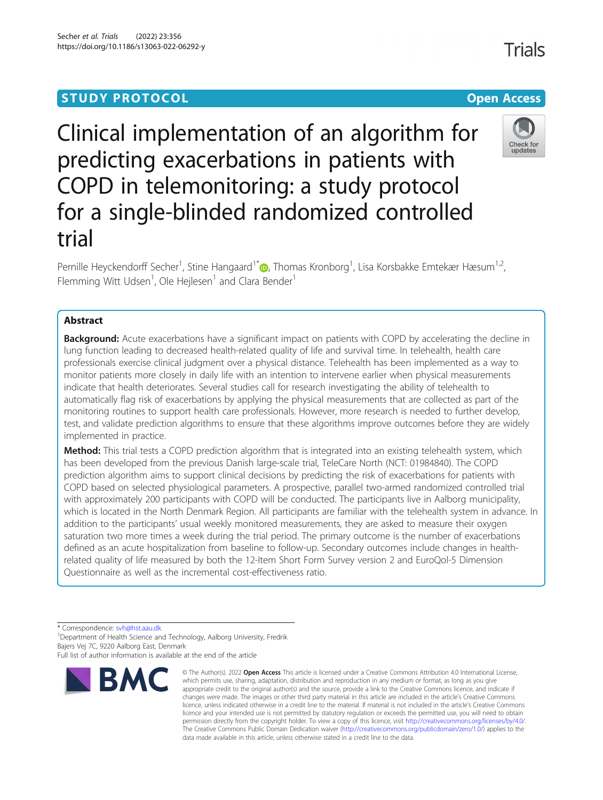# **STUDY PROTOCOL CONSUMING THE RESERVE ACCESS**

# Clinical implementation of an algorithm for predicting exacerbations in patients with COPD in telemonitoring: a study protocol for a single-blinded randomized controlled trial

Pernille Heyckendorff Secher<sup>1</sup>, Stine Hangaard<sup>1[\\*](http://orcid.org/0000-0003-0395-3563)</sup> , Thomas Kronborg<sup>1</sup>, Lisa Korsbakke Emtekær Hæsum<sup>1,2</sup>, Flemming Witt Udsen<sup>1</sup>, Ole Hejlesen<sup>1</sup> and Clara Bender<sup>1</sup>

# Abstract

**Background:** Acute exacerbations have a significant impact on patients with COPD by accelerating the decline in lung function leading to decreased health-related quality of life and survival time. In telehealth, health care professionals exercise clinical judgment over a physical distance. Telehealth has been implemented as a way to monitor patients more closely in daily life with an intention to intervene earlier when physical measurements indicate that health deteriorates. Several studies call for research investigating the ability of telehealth to automatically flag risk of exacerbations by applying the physical measurements that are collected as part of the monitoring routines to support health care professionals. However, more research is needed to further develop, test, and validate prediction algorithms to ensure that these algorithms improve outcomes before they are widely implemented in practice.

Method: This trial tests a COPD prediction algorithm that is integrated into an existing telehealth system, which has been developed from the previous Danish large-scale trial, TeleCare North (NCT: 01984840). The COPD prediction algorithm aims to support clinical decisions by predicting the risk of exacerbations for patients with COPD based on selected physiological parameters. A prospective, parallel two-armed randomized controlled trial with approximately 200 participants with COPD will be conducted. The participants live in Aalborg municipality, which is located in the North Denmark Region. All participants are familiar with the telehealth system in advance. In addition to the participants' usual weekly monitored measurements, they are asked to measure their oxygen saturation two more times a week during the trial period. The primary outcome is the number of exacerbations defined as an acute hospitalization from baseline to follow-up. Secondary outcomes include changes in healthrelated quality of life measured by both the 12-Item Short Form Survey version 2 and EuroQol-5 Dimension Questionnaire as well as the incremental cost-effectiveness ratio.

\* Correspondence: [svh@hst.aau.dk](mailto:svh@hst.aau.dk) <sup>1</sup>

<sup>1</sup>Department of Health Science and Technology, Aalborg University, Fredrik Bajers Vej 7C, 9220 Aalborg East, Denmark



BMC



undate



Full list of author information is available at the end of the article

<sup>©</sup> The Author(s), 2022 **Open Access** This article is licensed under a Creative Commons Attribution 4.0 International License, which permits use, sharing, adaptation, distribution and reproduction in any medium or format, as long as you give appropriate credit to the original author(s) and the source, provide a link to the Creative Commons licence, and indicate if changes were made. The images or other third party material in this article are included in the article's Creative Commons licence, unless indicated otherwise in a credit line to the material. If material is not included in the article's Creative Commons licence and your intended use is not permitted by statutory regulation or exceeds the permitted use, you will need to obtain permission directly from the copyright holder. To view a copy of this licence, visit [http://creativecommons.org/licenses/by/4.0/.](http://creativecommons.org/licenses/by/4.0/) The Creative Commons Public Domain Dedication waiver [\(http://creativecommons.org/publicdomain/zero/1.0/](http://creativecommons.org/publicdomain/zero/1.0/)) applies to the data made available in this article, unless otherwise stated in a credit line to the data.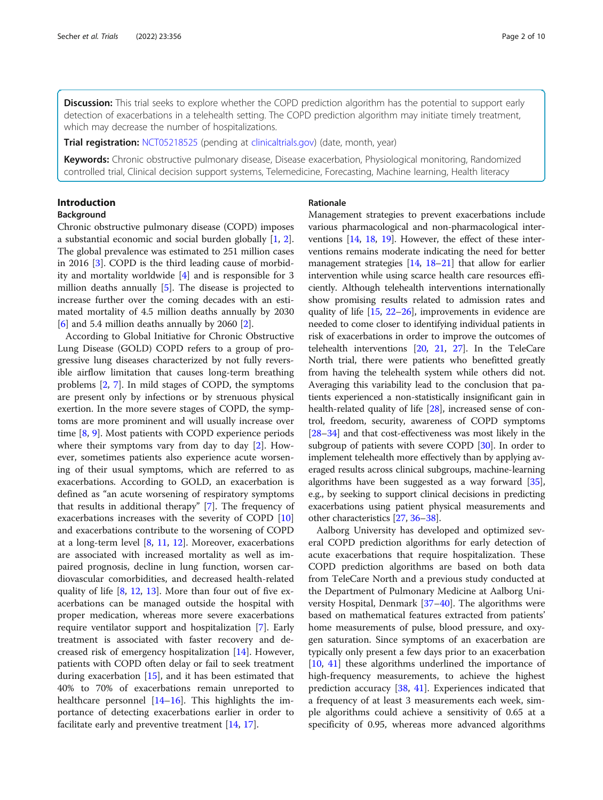Discussion: This trial seeks to explore whether the COPD prediction algorithm has the potential to support early detection of exacerbations in a telehealth setting. The COPD prediction algorithm may initiate timely treatment, which may decrease the number of hospitalizations.

**Trial registration:** [NCT05218525](https://clinicaltrials.gov/ct2/show/results/NCT05218525?view=results) (pending at [clinicaltrials.gov](http://clinicaltrials.gov)) (date, month, year)

Keywords: Chronic obstructive pulmonary disease, Disease exacerbation, Physiological monitoring, Randomized controlled trial, Clinical decision support systems, Telemedicine, Forecasting, Machine learning, Health literacy

# Introduction

## Background

Chronic obstructive pulmonary disease (COPD) imposes a substantial economic and social burden globally [[1,](#page-8-0) [2](#page-8-0)]. The global prevalence was estimated to 251 million cases in 2016 [\[3](#page-8-0)]. COPD is the third leading cause of morbidity and mortality worldwide [[4\]](#page-8-0) and is responsible for 3 million deaths annually [\[5\]](#page-8-0). The disease is projected to increase further over the coming decades with an estimated mortality of 4.5 million deaths annually by 2030  $[6]$  $[6]$  and 5.4 million deaths annually by 2060  $[2]$  $[2]$ .

According to Global Initiative for Chronic Obstructive Lung Disease (GOLD) COPD refers to a group of progressive lung diseases characterized by not fully reversible airflow limitation that causes long-term breathing problems [\[2](#page-8-0), [7](#page-8-0)]. In mild stages of COPD, the symptoms are present only by infections or by strenuous physical exertion. In the more severe stages of COPD, the symptoms are more prominent and will usually increase over time [\[8](#page-8-0), [9\]](#page-8-0). Most patients with COPD experience periods where their symptoms vary from day to day [[2\]](#page-8-0). However, sometimes patients also experience acute worsening of their usual symptoms, which are referred to as exacerbations. According to GOLD, an exacerbation is defined as "an acute worsening of respiratory symptoms that results in additional therapy" [\[7](#page-8-0)]. The frequency of exacerbations increases with the severity of COPD [[10](#page-8-0)] and exacerbations contribute to the worsening of COPD at a long-term level [[8,](#page-8-0) [11](#page-8-0), [12\]](#page-8-0). Moreover, exacerbations are associated with increased mortality as well as impaired prognosis, decline in lung function, worsen cardiovascular comorbidities, and decreased health-related quality of life [\[8](#page-8-0), [12,](#page-8-0) [13](#page-8-0)]. More than four out of five exacerbations can be managed outside the hospital with proper medication, whereas more severe exacerbations require ventilator support and hospitalization [[7](#page-8-0)]. Early treatment is associated with faster recovery and decreased risk of emergency hospitalization [\[14](#page-8-0)]. However, patients with COPD often delay or fail to seek treatment during exacerbation [[15](#page-8-0)], and it has been estimated that 40% to 70% of exacerbations remain unreported to healthcare personnel [[14](#page-8-0)–[16](#page-8-0)]. This highlights the importance of detecting exacerbations earlier in order to facilitate early and preventive treatment [[14,](#page-8-0) [17](#page-8-0)].

# Rationale

Management strategies to prevent exacerbations include various pharmacological and non-pharmacological interventions [\[14](#page-8-0), [18,](#page-8-0) [19](#page-8-0)]. However, the effect of these interventions remains moderate indicating the need for better management strategies [[14,](#page-8-0) [18](#page-8-0)–[21\]](#page-8-0) that allow for earlier intervention while using scarce health care resources efficiently. Although telehealth interventions internationally show promising results related to admission rates and quality of life [[15](#page-8-0), [22](#page-8-0)–[26](#page-8-0)], improvements in evidence are needed to come closer to identifying individual patients in risk of exacerbations in order to improve the outcomes of telehealth interventions [[20](#page-8-0), [21](#page-8-0), [27](#page-9-0)]. In the TeleCare North trial, there were patients who benefitted greatly from having the telehealth system while others did not. Averaging this variability lead to the conclusion that patients experienced a non-statistically insignificant gain in health-related quality of life [\[28](#page-9-0)], increased sense of control, freedom, security, awareness of COPD symptoms [[28](#page-9-0)–[34\]](#page-9-0) and that cost-effectiveness was most likely in the subgroup of patients with severe COPD [[30](#page-9-0)]. In order to implement telehealth more effectively than by applying averaged results across clinical subgroups, machine-learning algorithms have been suggested as a way forward [[35](#page-9-0)], e.g., by seeking to support clinical decisions in predicting exacerbations using patient physical measurements and other characteristics [\[27,](#page-9-0) [36](#page-9-0)–[38\]](#page-9-0).

Aalborg University has developed and optimized several COPD prediction algorithms for early detection of acute exacerbations that require hospitalization. These COPD prediction algorithms are based on both data from TeleCare North and a previous study conducted at the Department of Pulmonary Medicine at Aalborg University Hospital, Denmark [[37](#page-9-0)–[40](#page-9-0)]. The algorithms were based on mathematical features extracted from patients' home measurements of pulse, blood pressure, and oxygen saturation. Since symptoms of an exacerbation are typically only present a few days prior to an exacerbation [[10,](#page-8-0) [41\]](#page-9-0) these algorithms underlined the importance of high-frequency measurements, to achieve the highest prediction accuracy [\[38,](#page-9-0) [41](#page-9-0)]. Experiences indicated that a frequency of at least 3 measurements each week, simple algorithms could achieve a sensitivity of 0.65 at a specificity of 0.95, whereas more advanced algorithms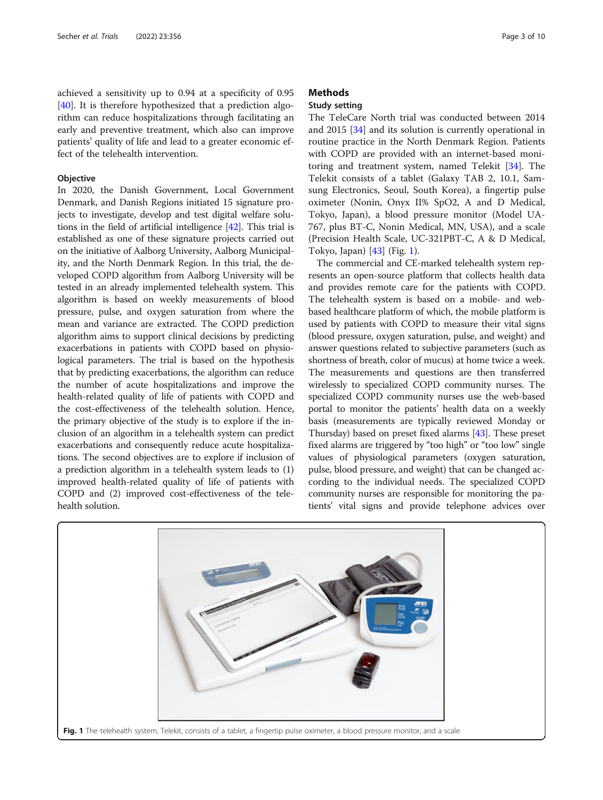achieved a sensitivity up to 0.94 at a specificity of 0.95 [[40\]](#page-9-0). It is therefore hypothesized that a prediction algorithm can reduce hospitalizations through facilitating an early and preventive treatment, which also can improve patients' quality of life and lead to a greater economic effect of the telehealth intervention.

#### **Objective**

In 2020, the Danish Government, Local Government Denmark, and Danish Regions initiated 15 signature projects to investigate, develop and test digital welfare solutions in the field of artificial intelligence [[42](#page-9-0)]. This trial is established as one of these signature projects carried out on the initiative of Aalborg University, Aalborg Municipality, and the North Denmark Region. In this trial, the developed COPD algorithm from Aalborg University will be tested in an already implemented telehealth system. This algorithm is based on weekly measurements of blood pressure, pulse, and oxygen saturation from where the mean and variance are extracted. The COPD prediction algorithm aims to support clinical decisions by predicting exacerbations in patients with COPD based on physiological parameters. The trial is based on the hypothesis that by predicting exacerbations, the algorithm can reduce the number of acute hospitalizations and improve the health-related quality of life of patients with COPD and the cost-effectiveness of the telehealth solution. Hence, the primary objective of the study is to explore if the inclusion of an algorithm in a telehealth system can predict exacerbations and consequently reduce acute hospitalizations. The second objectives are to explore if inclusion of a prediction algorithm in a telehealth system leads to (1) improved health-related quality of life of patients with COPD and (2) improved cost-effectiveness of the telehealth solution.

# **Methods**

# Study setting

The TeleCare North trial was conducted between 2014 and 2015 [[34\]](#page-9-0) and its solution is currently operational in routine practice in the North Denmark Region. Patients with COPD are provided with an internet-based monitoring and treatment system, named Telekit [\[34](#page-9-0)]. The Telekit consists of a tablet (Galaxy TAB 2, 10.1, Samsung Electronics, Seoul, South Korea), a fingertip pulse oximeter (Nonin, Onyx II% SpO2, A and D Medical, Tokyo, Japan), a blood pressure monitor (Model UA-767, plus BT-C, Nonin Medical, MN, USA), and a scale (Precision Health Scale, UC-321PBT-C, A & D Medical, Tokyo, Japan) [[43](#page-9-0)] (Fig. 1).

The commercial and CE-marked telehealth system represents an open-source platform that collects health data and provides remote care for the patients with COPD. The telehealth system is based on a mobile- and webbased healthcare platform of which, the mobile platform is used by patients with COPD to measure their vital signs (blood pressure, oxygen saturation, pulse, and weight) and answer questions related to subjective parameters (such as shortness of breath, color of mucus) at home twice a week. The measurements and questions are then transferred wirelessly to specialized COPD community nurses. The specialized COPD community nurses use the web-based portal to monitor the patients' health data on a weekly basis (measurements are typically reviewed Monday or Thursday) based on preset fixed alarms [[43](#page-9-0)]. These preset fixed alarms are triggered by "too high" or "too low" single values of physiological parameters (oxygen saturation, pulse, blood pressure, and weight) that can be changed according to the individual needs. The specialized COPD community nurses are responsible for monitoring the patients' vital signs and provide telephone advices over

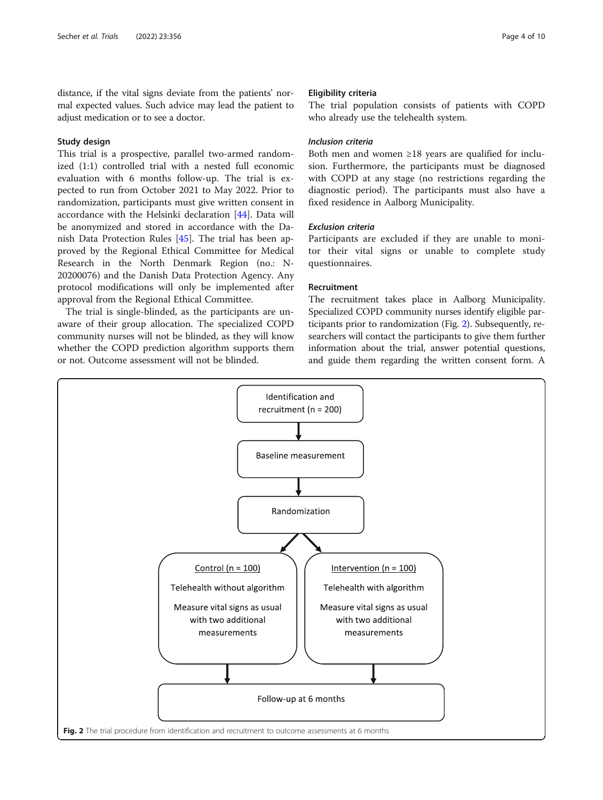distance, if the vital signs deviate from the patients' normal expected values. Such advice may lead the patient to adjust medication or to see a doctor.

# Study design

This trial is a prospective, parallel two-armed randomized (1:1) controlled trial with a nested full economic evaluation with 6 months follow-up. The trial is expected to run from October 2021 to May 2022. Prior to randomization, participants must give written consent in accordance with the Helsinki declaration [\[44](#page-9-0)]. Data will be anonymized and stored in accordance with the Danish Data Protection Rules [[45\]](#page-9-0). The trial has been approved by the Regional Ethical Committee for Medical Research in the North Denmark Region (no.: N-20200076) and the Danish Data Protection Agency. Any protocol modifications will only be implemented after approval from the Regional Ethical Committee.

The trial is single-blinded, as the participants are unaware of their group allocation. The specialized COPD community nurses will not be blinded, as they will know whether the COPD prediction algorithm supports them or not. Outcome assessment will not be blinded.

#### Eligibility criteria

The trial population consists of patients with COPD who already use the telehealth system.

# Inclusion criteria

Both men and women ≥18 years are qualified for inclusion. Furthermore, the participants must be diagnosed with COPD at any stage (no restrictions regarding the diagnostic period). The participants must also have a fixed residence in Aalborg Municipality.

# Exclusion criteria

Participants are excluded if they are unable to monitor their vital signs or unable to complete study questionnaires.

#### Recruitment

The recruitment takes place in Aalborg Municipality. Specialized COPD community nurses identify eligible participants prior to randomization (Fig. 2). Subsequently, researchers will contact the participants to give them further information about the trial, answer potential questions, and guide them regarding the written consent form. A

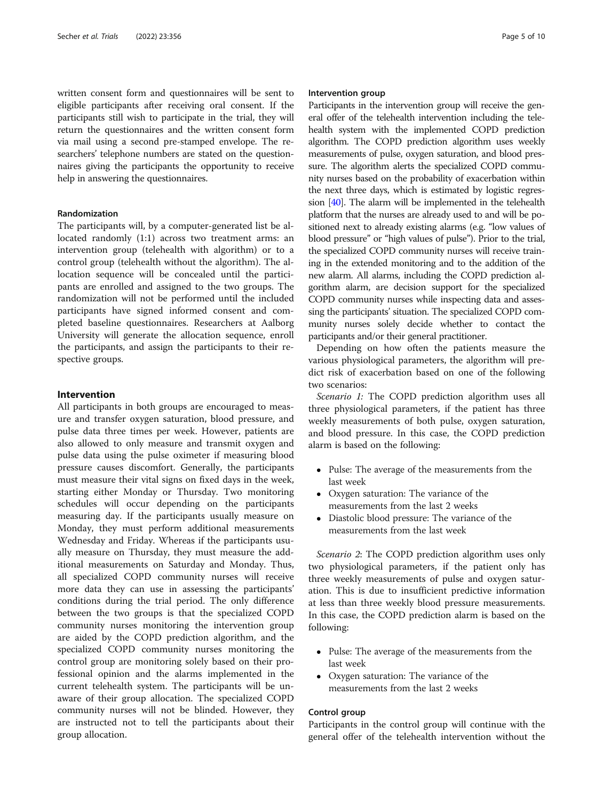written consent form and questionnaires will be sent to eligible participants after receiving oral consent. If the participants still wish to participate in the trial, they will return the questionnaires and the written consent form via mail using a second pre-stamped envelope. The researchers' telephone numbers are stated on the questionnaires giving the participants the opportunity to receive help in answering the questionnaires.

# Randomization

The participants will, by a computer-generated list be allocated randomly (1:1) across two treatment arms: an intervention group (telehealth with algorithm) or to a control group (telehealth without the algorithm). The allocation sequence will be concealed until the participants are enrolled and assigned to the two groups. The randomization will not be performed until the included participants have signed informed consent and completed baseline questionnaires. Researchers at Aalborg University will generate the allocation sequence, enroll the participants, and assign the participants to their respective groups.

#### Intervention

All participants in both groups are encouraged to measure and transfer oxygen saturation, blood pressure, and pulse data three times per week. However, patients are also allowed to only measure and transmit oxygen and pulse data using the pulse oximeter if measuring blood pressure causes discomfort. Generally, the participants must measure their vital signs on fixed days in the week, starting either Monday or Thursday. Two monitoring schedules will occur depending on the participants measuring day. If the participants usually measure on Monday, they must perform additional measurements Wednesday and Friday. Whereas if the participants usually measure on Thursday, they must measure the additional measurements on Saturday and Monday. Thus, all specialized COPD community nurses will receive more data they can use in assessing the participants' conditions during the trial period. The only difference between the two groups is that the specialized COPD community nurses monitoring the intervention group are aided by the COPD prediction algorithm, and the specialized COPD community nurses monitoring the control group are monitoring solely based on their professional opinion and the alarms implemented in the current telehealth system. The participants will be unaware of their group allocation. The specialized COPD community nurses will not be blinded. However, they are instructed not to tell the participants about their group allocation.

#### Intervention group

Participants in the intervention group will receive the general offer of the telehealth intervention including the telehealth system with the implemented COPD prediction algorithm. The COPD prediction algorithm uses weekly measurements of pulse, oxygen saturation, and blood pressure. The algorithm alerts the specialized COPD community nurses based on the probability of exacerbation within the next three days, which is estimated by logistic regression [\[40\]](#page-9-0). The alarm will be implemented in the telehealth platform that the nurses are already used to and will be positioned next to already existing alarms (e.g. "low values of blood pressure" or "high values of pulse"). Prior to the trial, the specialized COPD community nurses will receive training in the extended monitoring and to the addition of the new alarm. All alarms, including the COPD prediction algorithm alarm, are decision support for the specialized COPD community nurses while inspecting data and assessing the participants' situation. The specialized COPD community nurses solely decide whether to contact the participants and/or their general practitioner.

Depending on how often the patients measure the various physiological parameters, the algorithm will predict risk of exacerbation based on one of the following two scenarios:

Scenario 1: The COPD prediction algorithm uses all three physiological parameters, if the patient has three weekly measurements of both pulse, oxygen saturation, and blood pressure. In this case, the COPD prediction alarm is based on the following:

- Pulse: The average of the measurements from the last week
- Oxygen saturation: The variance of the measurements from the last 2 weeks
- Diastolic blood pressure: The variance of the measurements from the last week

Scenario 2: The COPD prediction algorithm uses only two physiological parameters, if the patient only has three weekly measurements of pulse and oxygen saturation. This is due to insufficient predictive information at less than three weekly blood pressure measurements. In this case, the COPD prediction alarm is based on the following:

- Pulse: The average of the measurements from the last week
- Oxygen saturation: The variance of the measurements from the last 2 weeks

## Control group

Participants in the control group will continue with the general offer of the telehealth intervention without the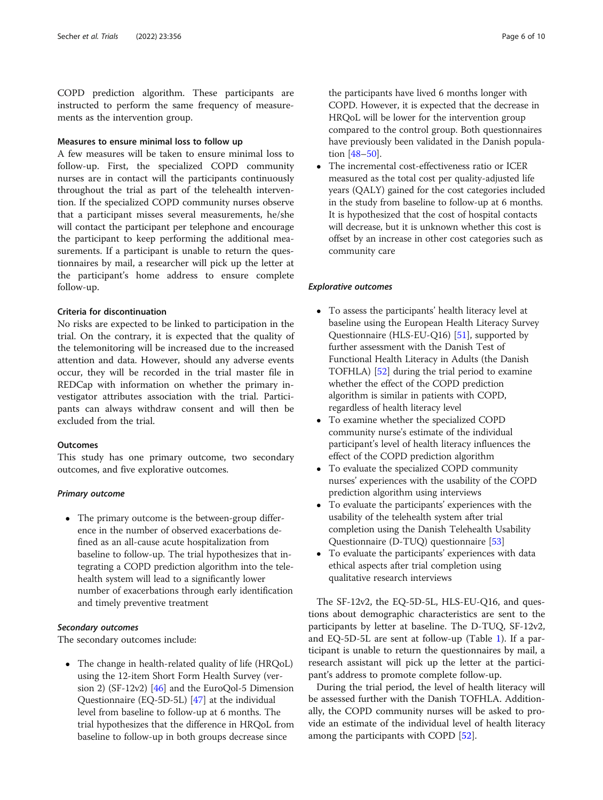COPD prediction algorithm. These participants are instructed to perform the same frequency of measurements as the intervention group.

# Measures to ensure minimal loss to follow up

A few measures will be taken to ensure minimal loss to follow-up. First, the specialized COPD community nurses are in contact will the participants continuously throughout the trial as part of the telehealth intervention. If the specialized COPD community nurses observe that a participant misses several measurements, he/she will contact the participant per telephone and encourage the participant to keep performing the additional measurements. If a participant is unable to return the questionnaires by mail, a researcher will pick up the letter at the participant's home address to ensure complete follow-up.

#### Criteria for discontinuation

No risks are expected to be linked to participation in the trial. On the contrary, it is expected that the quality of the telemonitoring will be increased due to the increased attention and data. However, should any adverse events occur, they will be recorded in the trial master file in REDCap with information on whether the primary investigator attributes association with the trial. Participants can always withdraw consent and will then be excluded from the trial.

#### **Outcomes**

This study has one primary outcome, two secondary outcomes, and five explorative outcomes.

# Primary outcome

• The primary outcome is the between-group difference in the number of observed exacerbations defined as an all-cause acute hospitalization from baseline to follow-up. The trial hypothesizes that integrating a COPD prediction algorithm into the telehealth system will lead to a significantly lower number of exacerbations through early identification and timely preventive treatment

# Secondary outcomes

The secondary outcomes include:

• The change in health-related quality of life (HRQoL) using the 12-item Short Form Health Survey (version 2) (SF-12v2) [[46](#page-9-0)] and the EuroQol-5 Dimension Questionnaire (EQ-5D-5L) [\[47\]](#page-9-0) at the individual level from baseline to follow-up at 6 months. The trial hypothesizes that the difference in HRQoL from baseline to follow-up in both groups decrease since

the participants have lived 6 months longer with COPD. However, it is expected that the decrease in HRQoL will be lower for the intervention group compared to the control group. Both questionnaires have previously been validated in the Danish population [[48](#page-9-0)–[50\]](#page-9-0).

 The incremental cost-effectiveness ratio or ICER measured as the total cost per quality-adjusted life years (QALY) gained for the cost categories included in the study from baseline to follow-up at 6 months. It is hypothesized that the cost of hospital contacts will decrease, but it is unknown whether this cost is offset by an increase in other cost categories such as community care

#### Explorative outcomes

- To assess the participants' health literacy level at baseline using the European Health Literacy Survey Questionnaire (HLS-EU-Q16) [[51](#page-9-0)], supported by further assessment with the Danish Test of Functional Health Literacy in Adults (the Danish TOFHLA) [[52](#page-9-0)] during the trial period to examine whether the effect of the COPD prediction algorithm is similar in patients with COPD, regardless of health literacy level
- To examine whether the specialized COPD community nurse's estimate of the individual participant's level of health literacy influences the effect of the COPD prediction algorithm
- To evaluate the specialized COPD community nurses' experiences with the usability of the COPD prediction algorithm using interviews
- To evaluate the participants' experiences with the usability of the telehealth system after trial completion using the Danish Telehealth Usability Questionnaire (D-TUQ) questionnaire [[53](#page-9-0)]
- To evaluate the participants' experiences with data ethical aspects after trial completion using qualitative research interviews

The SF-12v2, the EQ-5D-5L, HLS-EU-Q16, and questions about demographic characteristics are sent to the participants by letter at baseline. The D-TUQ, SF-12v2, and EQ-5D-5L are sent at follow-up (Table [1\)](#page-6-0). If a participant is unable to return the questionnaires by mail, a research assistant will pick up the letter at the participant's address to promote complete follow-up.

During the trial period, the level of health literacy will be assessed further with the Danish TOFHLA. Additionally, the COPD community nurses will be asked to provide an estimate of the individual level of health literacy among the participants with COPD [\[52\]](#page-9-0).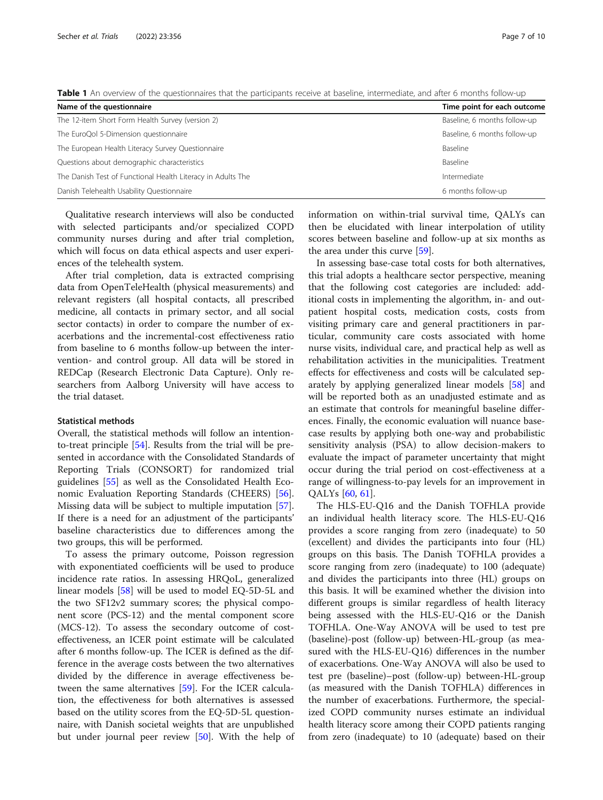<span id="page-6-0"></span>Table 1 An overview of the questionnaires that the participants receive at baseline, intermediate, and after 6 months follow-up

| Name of the questionnaire                                   | Time point for each outcome  |
|-------------------------------------------------------------|------------------------------|
| The 12-item Short Form Health Survey (version 2)            | Baseline, 6 months follow-up |
| The EuroQol 5-Dimension questionnaire                       | Baseline, 6 months follow-up |
| The European Health Literacy Survey Questionnaire           | Baseline                     |
| Questions about demographic characteristics                 | Baseline                     |
| The Danish Test of Functional Health Literacy in Adults The | Intermediate                 |
| Danish Telehealth Usability Questionnaire                   | 6 months follow-up           |

Qualitative research interviews will also be conducted with selected participants and/or specialized COPD community nurses during and after trial completion, which will focus on data ethical aspects and user experiences of the telehealth system.

After trial completion, data is extracted comprising data from OpenTeleHealth (physical measurements) and relevant registers (all hospital contacts, all prescribed medicine, all contacts in primary sector, and all social sector contacts) in order to compare the number of exacerbations and the incremental-cost effectiveness ratio from baseline to 6 months follow-up between the intervention- and control group. All data will be stored in REDCap (Research Electronic Data Capture). Only researchers from Aalborg University will have access to the trial dataset.

#### Statistical methods

Overall, the statistical methods will follow an intentionto-treat principle [\[54\]](#page-9-0). Results from the trial will be presented in accordance with the Consolidated Standards of Reporting Trials (CONSORT) for randomized trial guidelines [[55\]](#page-9-0) as well as the Consolidated Health Economic Evaluation Reporting Standards (CHEERS) [\[56](#page-9-0)]. Missing data will be subject to multiple imputation [\[57](#page-9-0)]. If there is a need for an adjustment of the participants' baseline characteristics due to differences among the two groups, this will be performed.

To assess the primary outcome, Poisson regression with exponentiated coefficients will be used to produce incidence rate ratios. In assessing HRQoL, generalized linear models [\[58\]](#page-9-0) will be used to model EQ-5D-5L and the two SF12v2 summary scores; the physical component score (PCS-12) and the mental component score (MCS-12). To assess the secondary outcome of costeffectiveness, an ICER point estimate will be calculated after 6 months follow-up. The ICER is defined as the difference in the average costs between the two alternatives divided by the difference in average effectiveness between the same alternatives [[59\]](#page-9-0). For the ICER calculation, the effectiveness for both alternatives is assessed based on the utility scores from the EQ-5D-5L questionnaire, with Danish societal weights that are unpublished but under journal peer review [[50\]](#page-9-0). With the help of information on within-trial survival time, QALYs can then be elucidated with linear interpolation of utility scores between baseline and follow-up at six months as the area under this curve [[59](#page-9-0)].

In assessing base-case total costs for both alternatives, this trial adopts a healthcare sector perspective, meaning that the following cost categories are included: additional costs in implementing the algorithm, in- and outpatient hospital costs, medication costs, costs from visiting primary care and general practitioners in particular, community care costs associated with home nurse visits, individual care, and practical help as well as rehabilitation activities in the municipalities. Treatment effects for effectiveness and costs will be calculated separately by applying generalized linear models [[58\]](#page-9-0) and will be reported both as an unadjusted estimate and as an estimate that controls for meaningful baseline differences. Finally, the economic evaluation will nuance basecase results by applying both one-way and probabilistic sensitivity analysis (PSA) to allow decision-makers to evaluate the impact of parameter uncertainty that might occur during the trial period on cost-effectiveness at a range of willingness-to-pay levels for an improvement in QALYs [[60,](#page-9-0) [61\]](#page-9-0).

The HLS-EU-Q16 and the Danish TOFHLA provide an individual health literacy score. The HLS-EU-Q16 provides a score ranging from zero (inadequate) to 50 (excellent) and divides the participants into four (HL) groups on this basis. The Danish TOFHLA provides a score ranging from zero (inadequate) to 100 (adequate) and divides the participants into three (HL) groups on this basis. It will be examined whether the division into different groups is similar regardless of health literacy being assessed with the HLS-EU-Q16 or the Danish TOFHLA. One-Way ANOVA will be used to test pre (baseline)-post (follow-up) between-HL-group (as measured with the HLS-EU-Q16) differences in the number of exacerbations. One-Way ANOVA will also be used to test pre (baseline)–post (follow-up) between-HL-group (as measured with the Danish TOFHLA) differences in the number of exacerbations. Furthermore, the specialized COPD community nurses estimate an individual health literacy score among their COPD patients ranging from zero (inadequate) to 10 (adequate) based on their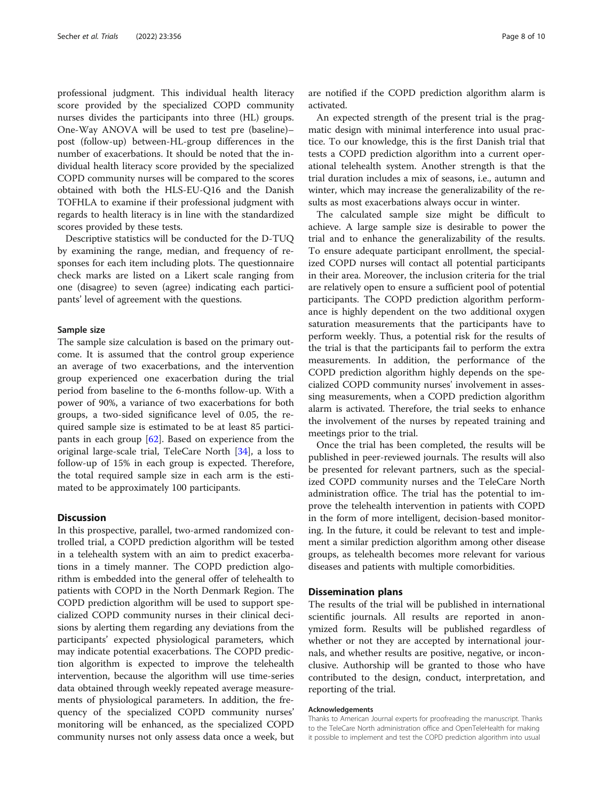professional judgment. This individual health literacy score provided by the specialized COPD community nurses divides the participants into three (HL) groups. One-Way ANOVA will be used to test pre (baseline)– post (follow-up) between-HL-group differences in the number of exacerbations. It should be noted that the individual health literacy score provided by the specialized COPD community nurses will be compared to the scores obtained with both the HLS-EU-Q16 and the Danish TOFHLA to examine if their professional judgment with regards to health literacy is in line with the standardized scores provided by these tests.

Descriptive statistics will be conducted for the D-TUQ by examining the range, median, and frequency of responses for each item including plots. The questionnaire check marks are listed on a Likert scale ranging from one (disagree) to seven (agree) indicating each participants' level of agreement with the questions.

#### Sample size

The sample size calculation is based on the primary outcome. It is assumed that the control group experience an average of two exacerbations, and the intervention group experienced one exacerbation during the trial period from baseline to the 6-months follow-up. With a power of 90%, a variance of two exacerbations for both groups, a two-sided significance level of 0.05, the required sample size is estimated to be at least 85 participants in each group [[62\]](#page-9-0). Based on experience from the original large-scale trial, TeleCare North [[34\]](#page-9-0), a loss to follow-up of 15% in each group is expected. Therefore, the total required sample size in each arm is the estimated to be approximately 100 participants.

# **Discussion**

In this prospective, parallel, two-armed randomized controlled trial, a COPD prediction algorithm will be tested in a telehealth system with an aim to predict exacerbations in a timely manner. The COPD prediction algorithm is embedded into the general offer of telehealth to patients with COPD in the North Denmark Region. The COPD prediction algorithm will be used to support specialized COPD community nurses in their clinical decisions by alerting them regarding any deviations from the participants' expected physiological parameters, which may indicate potential exacerbations. The COPD prediction algorithm is expected to improve the telehealth intervention, because the algorithm will use time-series data obtained through weekly repeated average measurements of physiological parameters. In addition, the frequency of the specialized COPD community nurses' monitoring will be enhanced, as the specialized COPD community nurses not only assess data once a week, but are notified if the COPD prediction algorithm alarm is activated.

An expected strength of the present trial is the pragmatic design with minimal interference into usual practice. To our knowledge, this is the first Danish trial that tests a COPD prediction algorithm into a current operational telehealth system. Another strength is that the trial duration includes a mix of seasons, i.e., autumn and winter, which may increase the generalizability of the results as most exacerbations always occur in winter.

The calculated sample size might be difficult to achieve. A large sample size is desirable to power the trial and to enhance the generalizability of the results. To ensure adequate participant enrollment, the specialized COPD nurses will contact all potential participants in their area. Moreover, the inclusion criteria for the trial are relatively open to ensure a sufficient pool of potential participants. The COPD prediction algorithm performance is highly dependent on the two additional oxygen saturation measurements that the participants have to perform weekly. Thus, a potential risk for the results of the trial is that the participants fail to perform the extra measurements. In addition, the performance of the COPD prediction algorithm highly depends on the specialized COPD community nurses' involvement in assessing measurements, when a COPD prediction algorithm alarm is activated. Therefore, the trial seeks to enhance the involvement of the nurses by repeated training and meetings prior to the trial.

Once the trial has been completed, the results will be published in peer-reviewed journals. The results will also be presented for relevant partners, such as the specialized COPD community nurses and the TeleCare North administration office. The trial has the potential to improve the telehealth intervention in patients with COPD in the form of more intelligent, decision-based monitoring. In the future, it could be relevant to test and implement a similar prediction algorithm among other disease groups, as telehealth becomes more relevant for various diseases and patients with multiple comorbidities.

#### Dissemination plans

The results of the trial will be published in international scientific journals. All results are reported in anonymized form. Results will be published regardless of whether or not they are accepted by international journals, and whether results are positive, negative, or inconclusive. Authorship will be granted to those who have contributed to the design, conduct, interpretation, and reporting of the trial.

#### Acknowledgements

Thanks to American Journal experts for proofreading the manuscript. Thanks to the TeleCare North administration office and OpenTeleHealth for making it possible to implement and test the COPD prediction algorithm into usual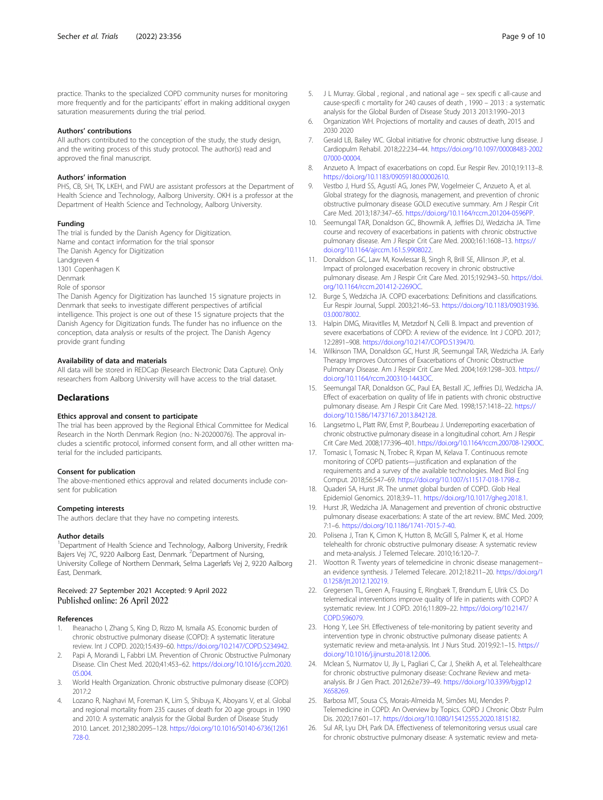#### <span id="page-8-0"></span>Authors' contributions

All authors contributed to the conception of the study, the study design, and the writing process of this study protocol. The author(s) read and approved the final manuscript.

#### Authors' information

PHS, CB, SH, TK, LKEH, and FWU are assistant professors at the Department of Health Science and Technology, Aalborg University. OKH is a professor at the Department of Health Science and Technology, Aalborg University.

#### Funding

The trial is funded by the Danish Agency for Digitization. Name and contact information for the trial sponsor The Danish Agency for Digitization Landgreven 4 1301 Copenhagen K Denmark Role of sponsor The Danish Agency for Digitization has launched 15 signature projects in Denmark that seeks to investigate different perspectives of artificial

intelligence. This project is one out of these 15 signature projects that the Danish Agency for Digitization funds. The funder has no influence on the conception, data analysis or results of the project. The Danish Agency provide grant funding

#### Availability of data and materials

All data will be stored in REDCap (Research Electronic Data Capture). Only researchers from Aalborg University will have access to the trial dataset.

#### **Declarations**

#### Ethics approval and consent to participate

The trial has been approved by the Regional Ethical Committee for Medical Research in the North Denmark Region (no.: N-20200076). The approval includes a scientific protocol, informed consent form, and all other written material for the included participants.

#### Consent for publication

The above-mentioned ethics approval and related documents include consent for publication

#### Competing interests

The authors declare that they have no competing interests.

#### Author details

<sup>1</sup>Department of Health Science and Technology, Aalborg University, Fredrik Bajers Vej 7C, 9220 Aalborg East, Denmark. <sup>2</sup>Department of Nursing, University College of Northern Denmark, Selma Lagerløfs Vej 2, 9220 Aalborg East, Denmark.

#### Received: 27 September 2021 Accepted: 9 April 2022 Published online: 26 April 2022

#### References

- Iheanacho I, Zhang S, King D, Rizzo M, Ismaila AS. Economic burden of chronic obstructive pulmonary disease (COPD): A systematic literature review. Int J COPD. 2020;15:439–60. [https://doi.org/10.2147/COPD.S234942.](https://doi.org/10.2147/COPD.S234942)
- Papi A, Morandi L, Fabbri LM. Prevention of Chronic Obstructive Pulmonary Disease. Clin Chest Med. 2020;41:453–62. [https://doi.org/10.1016/j.ccm.2020.](https://doi.org/10.1016/j.ccm.2020.05.004) [05.004.](https://doi.org/10.1016/j.ccm.2020.05.004)
- 3. World Health Organization. Chronic obstructive pulmonary disease (COPD) 2017:2
- Lozano R, Naghavi M, Foreman K, Lim S, Shibuya K, Aboyans V, et al. Global and regional mortality from 235 causes of death for 20 age groups in 1990 and 2010: A systematic analysis for the Global Burden of Disease Study 2010. Lancet. 2012;380:2095–128. [https://doi.org/10.1016/S0140-6736\(12\)61](https://doi.org/10.1016/S0140-6736(12)61728-0) [728-0](https://doi.org/10.1016/S0140-6736(12)61728-0).
- 5. J L Murray. Global , regional , and national age sex specifi c all-cause and cause-specifi c mortality for 240 causes of death , 1990 – 2013 : a systematic analysis for the Global Burden of Disease Study 2013 2013:1990–2013
- 6. Organization WH. Projections of mortality and causes of death, 2015 and 2030 2020
- 7. Gerald LB, Bailey WC. Global initiative for chronic obstructive lung disease. J Cardiopulm Rehabil. 2018;22:234–44. [https://doi.org/10.1097/00008483-2002](https://doi.org/10.1097/00008483-200207000-00004) [07000-00004.](https://doi.org/10.1097/00008483-200207000-00004)
- 8. Anzueto A. Impact of exacerbations on copd. Eur Respir Rev. 2010;19:113–8. [https://doi.org/10.1183/09059180.00002610.](https://doi.org/10.1183/09059180.00002610)
- Vestbo J, Hurd SS, Agustí AG, Jones PW, Vogelmeier C, Anzueto A, et al. Global strategy for the diagnosis, management, and prevention of chronic obstructive pulmonary disease GOLD executive summary. Am J Respir Crit Care Med. 2013;187:347–65. [https://doi.org/10.1164/rccm.201204-0596PP.](https://doi.org/10.1164/rccm.201204-0596PP)
- 10. Seemungal TAR, Donaldson GC, Bhowmik A, Jeffries DJ, Wedzicha JA. Time course and recovery of exacerbations in patients with chronic obstructive pulmonary disease. Am J Respir Crit Care Med. 2000;161:1608–13. [https://](https://doi.org/10.1164/ajrccm.161.5.9908022) [doi.org/10.1164/ajrccm.161.5.9908022](https://doi.org/10.1164/ajrccm.161.5.9908022).
- 11. Donaldson GC, Law M, Kowlessar B, Singh R, Brill SE, Allinson JP, et al. Impact of prolonged exacerbation recovery in chronic obstructive pulmonary disease. Am J Respir Crit Care Med. 2015;192:943–50. [https://doi.](https://doi.org/10.1164/rccm.201412-2269OC) [org/10.1164/rccm.201412-2269OC](https://doi.org/10.1164/rccm.201412-2269OC).
- 12. Burge S, Wedzicha JA. COPD exacerbations: Definitions and classifications. Eur Respir Journal, Suppl. 2003;21:46–53. [https://doi.org/10.1183/09031936.](https://doi.org/10.1183/09031936.03.00078002) [03.00078002](https://doi.org/10.1183/09031936.03.00078002).
- 13. Halpin DMG, Miravitlles M, Metzdorf N, Celli B. Impact and prevention of severe exacerbations of COPD: A review of the evidence. Int J COPD. 2017; 12:2891–908. [https://doi.org/10.2147/COPD.S139470.](https://doi.org/10.2147/COPD.S139470)
- 14. Wilkinson TMA, Donaldson GC, Hurst JR, Seemungal TAR, Wedzicha JA. Early Therapy Improves Outcomes of Exacerbations of Chronic Obstructive Pulmonary Disease. Am J Respir Crit Care Med. 2004;169:1298–303. [https://](https://doi.org/10.1164/rccm.200310-1443OC) [doi.org/10.1164/rccm.200310-1443OC.](https://doi.org/10.1164/rccm.200310-1443OC)
- 15. Seemungal TAR, Donaldson GC, Paul EA, Bestall JC, Jeffries DJ, Wedzicha JA. Effect of exacerbation on quality of life in patients with chronic obstructive pulmonary disease. Am J Respir Crit Care Med. 1998;157:1418–22. [https://](https://doi.org/10.1586/14737167.2013.842128) [doi.org/10.1586/14737167.2013.842128](https://doi.org/10.1586/14737167.2013.842128).
- 16. Langsetmo L, Platt RW, Ernst P, Bourbeau J. Underreporting exacerbation of chronic obstructive pulmonary disease in a longitudinal cohort. Am J Respir Crit Care Med. 2008;177:396–401. <https://doi.org/10.1164/rccm.200708-1290OC>.
- 17. Tomasic I, Tomasic N, Trobec R, Krpan M, Kelava T. Continuous remote monitoring of COPD patients—justification and explanation of the requirements and a survey of the available technologies. Med Biol Eng Comput. 2018;56:547–69. [https://doi.org/10.1007/s11517-018-1798-z.](https://doi.org/10.1007/s11517-018-1798-z)
- 18. Quaderi SA, Hurst JR. The unmet global burden of COPD. Glob Heal Epidemiol Genomics. 2018;3:9–11. <https://doi.org/10.1017/gheg.2018.1>.
- 19. Hurst JR, Wedzicha JA. Management and prevention of chronic obstructive pulmonary disease exacerbations: A state of the art review. BMC Med. 2009; 7:1–6. <https://doi.org/10.1186/1741-7015-7-40>.
- 20. Polisena J, Tran K, Cimon K, Hutton B, McGill S, Palmer K, et al. Home telehealth for chronic obstructive pulmonary disease: A systematic review and meta-analysis. J Telemed Telecare. 2010;16:120–7.
- 21. Wootton R. Twenty years of telemedicine in chronic disease management- an evidence synthesis. J Telemed Telecare. 2012;18:211–20. [https://doi.org/1](https://doi.org/10.1258/jtt.2012.120219) [0.1258/jtt.2012.120219.](https://doi.org/10.1258/jtt.2012.120219)
- 22. Gregersen TL, Green A, Frausing E, Ringbæk T, Brøndum E, Ulrik CS. Do telemedical interventions improve quality of life in patients with COPD? A systematic review. Int J COPD. 2016;11:809–22. [https://doi.org/10.2147/](https://doi.org/10.2147/COPD.S96079) [COPD.S96079](https://doi.org/10.2147/COPD.S96079).
- 23. Hong Y, Lee SH. Effectiveness of tele-monitoring by patient severity and intervention type in chronic obstructive pulmonary disease patients: A systematic review and meta-analysis. Int J Nurs Stud. 2019;92:1–15. [https://](https://doi.org/10.1016/j.ijnurstu.2018.12.006) [doi.org/10.1016/j.ijnurstu.2018.12.006](https://doi.org/10.1016/j.ijnurstu.2018.12.006).
- 24. Mclean S, Nurmatov U, Jly L, Pagliari C, Car J, Sheikh A, et al. Telehealthcare for chronic obstructive pulmonary disease: Cochrane Review and metaanalysis. Br J Gen Pract. 2012;62:e739–49. [https://doi.org/10.3399/bjgp12](https://doi.org/10.3399/bjgp12X658269) [X658269](https://doi.org/10.3399/bjgp12X658269).
- 25. Barbosa MT, Sousa CS, Morais-Almeida M, Simões MJ, Mendes P. Telemedicine in COPD: An Overview by Topics. COPD J Chronic Obstr Pulm Dis. 2020;17:601–17. [https://doi.org/10.1080/15412555.2020.1815182.](https://doi.org/10.1080/15412555.2020.1815182)
- 26. Sul AR, Lyu DH, Park DA. Effectiveness of telemonitoring versus usual care for chronic obstructive pulmonary disease: A systematic review and meta-